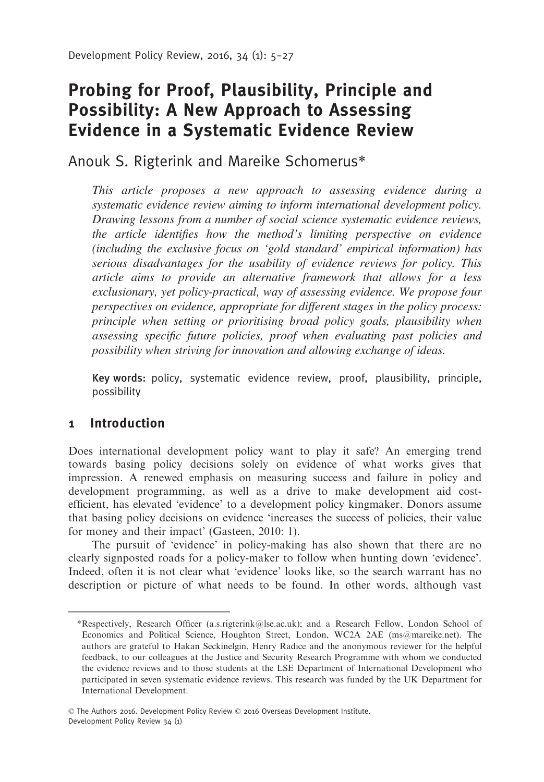# Probing for Proof, Plausibility, Principle and Possibility: A New Approach to Assessing Evidence in a Systematic Evidence Review

Anouk S. Rigterink and Mareike Schomerus\*

This article proposes a new approach to assessing evidence during a systematic evidence review aiming to inform international development policy. Drawing lessons from a number of social science systematic evidence reviews, the article identifies how the method's limiting perspective on evidence (including the exclusive focus on 'gold standard' empirical information) has serious disadvantages for the usability of evidence reviews for policy. This article aims to provide an alternative framework that allows for a less exclusionary, yet policy-practical, way of assessing evidence. We propose four perspectives on evidence, appropriate for different stages in the policy process: principle when setting or prioritising broad policy goals, plausibility when assessing specific future policies, proof when evaluating past policies and possibility when striving for innovation and allowing exchange of ideas.

Key words: policy, systematic evidence review, proof, plausibility, principle, possibility

# 1 Introduction

Does international development policy want to play it safe? An emerging trend towards basing policy decisions solely on evidence of what works gives that impression. A renewed emphasis on measuring success and failure in policy and development programming, as well as a drive to make development aid costefficient, has elevated 'evidence' to a development policy kingmaker. Donors assume that basing policy decisions on evidence 'increases the success of policies, their value for money and their impact' (Gasteen, 2010: 1).

The pursuit of 'evidence' in policy-making has also shown that there are no clearly signposted roads for a policy-maker to follow when hunting down 'evidence'. Indeed, often it is not clear what 'evidence' looks like, so the search warrant has no description or picture of what needs to be found. In other words, although vast

<sup>\*</sup>Respectively, Research Officer (a.s.rigterink@lse.ac.uk); and a Research Fellow, London School of Economics and Political Science, Houghton Street, London, WC2A 2AE (ms@mareike.net). The authors are grateful to Hakan Seckinelgin, Henry Radice and the anonymous reviewer for the helpful feedback, to our colleagues at the Justice and Security Research Programme with whom we conducted the evidence reviews and to those students at the LSE Department of International Development who participated in seven systematic evidence reviews. This research was funded by the UK Department for International Development.

<sup>©</sup> The Authors 2016. Development Policy Review © 2016 Overseas Development Institute.

Development Policy Review 34 (1)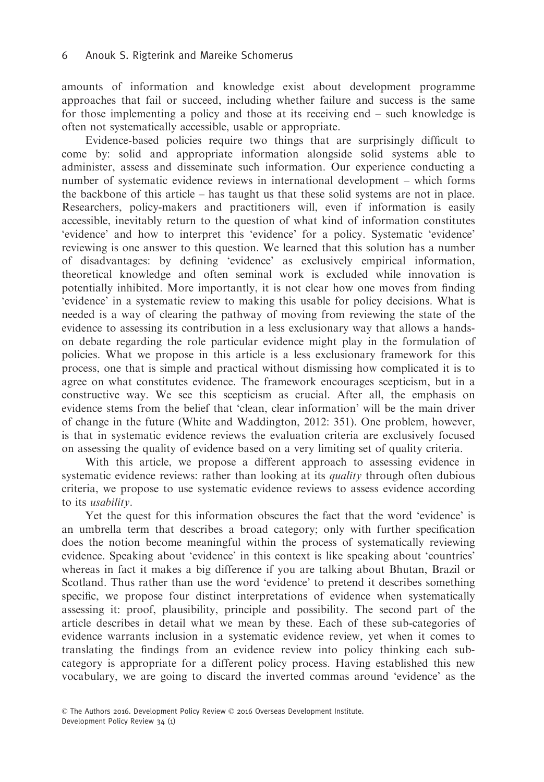amounts of information and knowledge exist about development programme approaches that fail or succeed, including whether failure and success is the same for those implementing a policy and those at its receiving end – such knowledge is often not systematically accessible, usable or appropriate.

Evidence-based policies require two things that are surprisingly difficult to come by: solid and appropriate information alongside solid systems able to administer, assess and disseminate such information. Our experience conducting a number of systematic evidence reviews in international development – which forms the backbone of this article – has taught us that these solid systems are not in place. Researchers, policy-makers and practitioners will, even if information is easily accessible, inevitably return to the question of what kind of information constitutes 'evidence' and how to interpret this 'evidence' for a policy. Systematic 'evidence' reviewing is one answer to this question. We learned that this solution has a number of disadvantages: by defining 'evidence' as exclusively empirical information, theoretical knowledge and often seminal work is excluded while innovation is potentially inhibited. More importantly, it is not clear how one moves from finding 'evidence' in a systematic review to making this usable for policy decisions. What is needed is a way of clearing the pathway of moving from reviewing the state of the evidence to assessing its contribution in a less exclusionary way that allows a handson debate regarding the role particular evidence might play in the formulation of policies. What we propose in this article is a less exclusionary framework for this process, one that is simple and practical without dismissing how complicated it is to agree on what constitutes evidence. The framework encourages scepticism, but in a constructive way. We see this scepticism as crucial. After all, the emphasis on evidence stems from the belief that 'clean, clear information' will be the main driver of change in the future (White and Waddington, 2012: 351). One problem, however, is that in systematic evidence reviews the evaluation criteria are exclusively focused on assessing the quality of evidence based on a very limiting set of quality criteria.

With this article, we propose a different approach to assessing evidence in systematic evidence reviews: rather than looking at its *quality* through often dubious criteria, we propose to use systematic evidence reviews to assess evidence according to its usability.

Yet the quest for this information obscures the fact that the word 'evidence' is an umbrella term that describes a broad category; only with further specification does the notion become meaningful within the process of systematically reviewing evidence. Speaking about 'evidence' in this context is like speaking about 'countries' whereas in fact it makes a big difference if you are talking about Bhutan, Brazil or Scotland. Thus rather than use the word 'evidence' to pretend it describes something specific, we propose four distinct interpretations of evidence when systematically assessing it: proof, plausibility, principle and possibility. The second part of the article describes in detail what we mean by these. Each of these sub-categories of evidence warrants inclusion in a systematic evidence review, yet when it comes to translating the findings from an evidence review into policy thinking each subcategory is appropriate for a different policy process. Having established this new vocabulary, we are going to discard the inverted commas around 'evidence' as the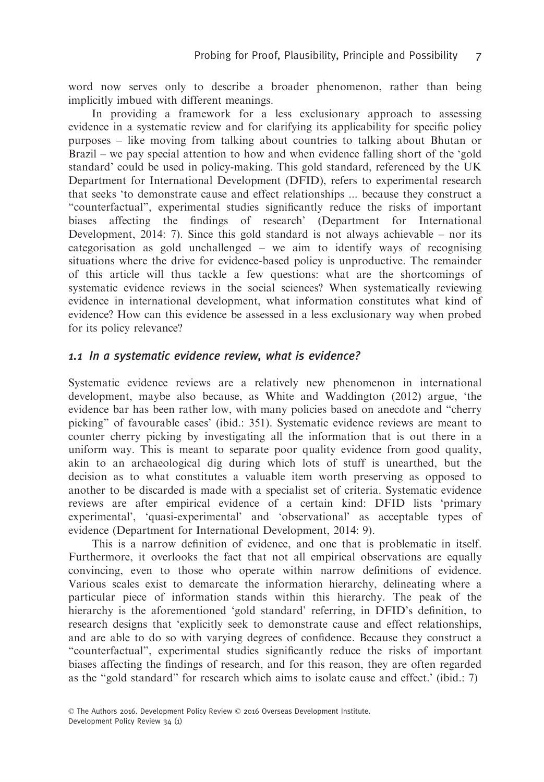word now serves only to describe a broader phenomenon, rather than being implicitly imbued with different meanings.

In providing a framework for a less exclusionary approach to assessing evidence in a systematic review and for clarifying its applicability for specific policy purposes – like moving from talking about countries to talking about Bhutan or Brazil – we pay special attention to how and when evidence falling short of the 'gold standard' could be used in policy-making. This gold standard, referenced by the UK Department for International Development (DFID), refers to experimental research that seeks 'to demonstrate cause and effect relationships ... because they construct a "counterfactual", experimental studies significantly reduce the risks of important biases affecting the findings of research' (Department for International Development, 2014: 7). Since this gold standard is not always achievable – nor its categorisation as gold unchallenged – we aim to identify ways of recognising situations where the drive for evidence-based policy is unproductive. The remainder of this article will thus tackle a few questions: what are the shortcomings of systematic evidence reviews in the social sciences? When systematically reviewing evidence in international development, what information constitutes what kind of evidence? How can this evidence be assessed in a less exclusionary way when probed for its policy relevance?

### 1.1 In a systematic evidence review, what is evidence?

Systematic evidence reviews are a relatively new phenomenon in international development, maybe also because, as White and Waddington (2012) argue, 'the evidence bar has been rather low, with many policies based on anecdote and "cherry picking" of favourable cases' (ibid.: 351). Systematic evidence reviews are meant to counter cherry picking by investigating all the information that is out there in a uniform way. This is meant to separate poor quality evidence from good quality, akin to an archaeological dig during which lots of stuff is unearthed, but the decision as to what constitutes a valuable item worth preserving as opposed to another to be discarded is made with a specialist set of criteria. Systematic evidence reviews are after empirical evidence of a certain kind: DFID lists 'primary experimental', 'quasi-experimental' and 'observational' as acceptable types of evidence (Department for International Development, 2014: 9).

This is a narrow definition of evidence, and one that is problematic in itself. Furthermore, it overlooks the fact that not all empirical observations are equally convincing, even to those who operate within narrow definitions of evidence. Various scales exist to demarcate the information hierarchy, delineating where a particular piece of information stands within this hierarchy. The peak of the hierarchy is the aforementioned 'gold standard' referring, in DFID's definition, to research designs that 'explicitly seek to demonstrate cause and effect relationships, and are able to do so with varying degrees of confidence. Because they construct a "counterfactual", experimental studies significantly reduce the risks of important biases affecting the findings of research, and for this reason, they are often regarded as the "gold standard" for research which aims to isolate cause and effect.' (ibid.: 7)

<sup>©</sup> The Authors 2016. Development Policy Review © 2016 Overseas Development Institute.

Development Policy Review 34 (1)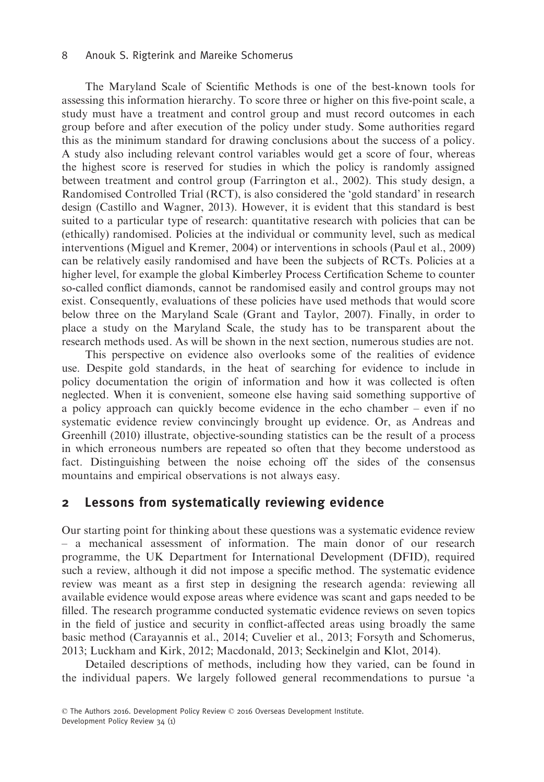#### 8 Anouk S. Rigterink and Mareike Schomerus

The Maryland Scale of Scientific Methods is one of the best-known tools for assessing this information hierarchy. To score three or higher on this five-point scale, a study must have a treatment and control group and must record outcomes in each group before and after execution of the policy under study. Some authorities regard this as the minimum standard for drawing conclusions about the success of a policy. A study also including relevant control variables would get a score of four, whereas the highest score is reserved for studies in which the policy is randomly assigned between treatment and control group (Farrington et al., 2002). This study design, a Randomised Controlled Trial (RCT), is also considered the 'gold standard' in research design (Castillo and Wagner, 2013). However, it is evident that this standard is best suited to a particular type of research: quantitative research with policies that can be (ethically) randomised. Policies at the individual or community level, such as medical interventions (Miguel and Kremer, 2004) or interventions in schools (Paul et al., 2009) can be relatively easily randomised and have been the subjects of RCTs. Policies at a higher level, for example the global Kimberley Process Certification Scheme to counter so-called conflict diamonds, cannot be randomised easily and control groups may not exist. Consequently, evaluations of these policies have used methods that would score below three on the Maryland Scale (Grant and Taylor, 2007). Finally, in order to place a study on the Maryland Scale, the study has to be transparent about the research methods used. As will be shown in the next section, numerous studies are not.

This perspective on evidence also overlooks some of the realities of evidence use. Despite gold standards, in the heat of searching for evidence to include in policy documentation the origin of information and how it was collected is often neglected. When it is convenient, someone else having said something supportive of a policy approach can quickly become evidence in the echo chamber – even if no systematic evidence review convincingly brought up evidence. Or, as Andreas and Greenhill (2010) illustrate, objective-sounding statistics can be the result of a process in which erroneous numbers are repeated so often that they become understood as fact. Distinguishing between the noise echoing off the sides of the consensus mountains and empirical observations is not always easy.

#### 2 Lessons from systematically reviewing evidence

Our starting point for thinking about these questions was a systematic evidence review – a mechanical assessment of information. The main donor of our research programme, the UK Department for International Development (DFID), required such a review, although it did not impose a specific method. The systematic evidence review was meant as a first step in designing the research agenda: reviewing all available evidence would expose areas where evidence was scant and gaps needed to be filled. The research programme conducted systematic evidence reviews on seven topics in the field of justice and security in conflict-affected areas using broadly the same basic method (Carayannis et al., 2014; Cuvelier et al., 2013; Forsyth and Schomerus, 2013; Luckham and Kirk, 2012; Macdonald, 2013; Seckinelgin and Klot, 2014).

Detailed descriptions of methods, including how they varied, can be found in the individual papers. We largely followed general recommendations to pursue 'a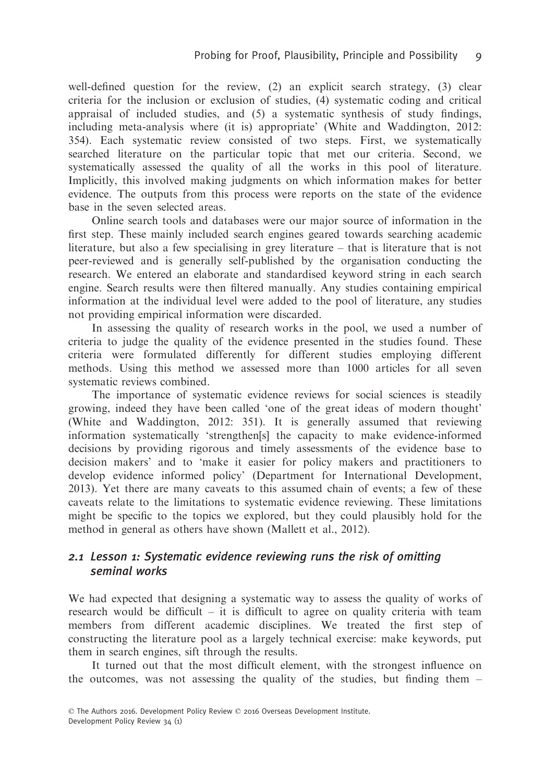well-defined question for the review, (2) an explicit search strategy, (3) clear criteria for the inclusion or exclusion of studies, (4) systematic coding and critical appraisal of included studies, and (5) a systematic synthesis of study findings, including meta-analysis where (it is) appropriate' (White and Waddington, 2012: 354). Each systematic review consisted of two steps. First, we systematically searched literature on the particular topic that met our criteria. Second, we systematically assessed the quality of all the works in this pool of literature. Implicitly, this involved making judgments on which information makes for better evidence. The outputs from this process were reports on the state of the evidence base in the seven selected areas.

Online search tools and databases were our major source of information in the first step. These mainly included search engines geared towards searching academic literature, but also a few specialising in grey literature – that is literature that is not peer-reviewed and is generally self-published by the organisation conducting the research. We entered an elaborate and standardised keyword string in each search engine. Search results were then filtered manually. Any studies containing empirical information at the individual level were added to the pool of literature, any studies not providing empirical information were discarded.

In assessing the quality of research works in the pool, we used a number of criteria to judge the quality of the evidence presented in the studies found. These criteria were formulated differently for different studies employing different methods. Using this method we assessed more than 1000 articles for all seven systematic reviews combined.

The importance of systematic evidence reviews for social sciences is steadily growing, indeed they have been called 'one of the great ideas of modern thought' (White and Waddington, 2012: 351). It is generally assumed that reviewing information systematically 'strengthen[s] the capacity to make evidence-informed decisions by providing rigorous and timely assessments of the evidence base to decision makers' and to 'make it easier for policy makers and practitioners to develop evidence informed policy' (Department for International Development, 2013). Yet there are many caveats to this assumed chain of events; a few of these caveats relate to the limitations to systematic evidence reviewing. These limitations might be specific to the topics we explored, but they could plausibly hold for the method in general as others have shown (Mallett et al., 2012).

### 2.1 Lesson 1: Systematic evidence reviewing runs the risk of omitting seminal works

We had expected that designing a systematic way to assess the quality of works of research would be difficult  $-$  it is difficult to agree on quality criteria with team members from different academic disciplines. We treated the first step of constructing the literature pool as a largely technical exercise: make keywords, put them in search engines, sift through the results.

It turned out that the most difficult element, with the strongest influence on the outcomes, was not assessing the quality of the studies, but finding them  $-$ 

Development Policy Review 34 (1)

<sup>©</sup> The Authors 2016. Development Policy Review © 2016 Overseas Development Institute.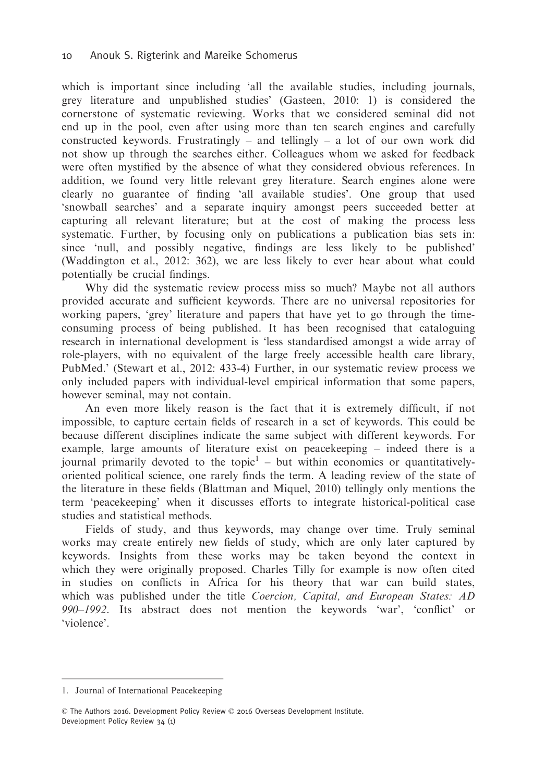which is important since including 'all the available studies, including journals, grey literature and unpublished studies' (Gasteen, 2010: 1) is considered the cornerstone of systematic reviewing. Works that we considered seminal did not end up in the pool, even after using more than ten search engines and carefully constructed keywords. Frustratingly – and tellingly – a lot of our own work did not show up through the searches either. Colleagues whom we asked for feedback were often mystified by the absence of what they considered obvious references. In addition, we found very little relevant grey literature. Search engines alone were clearly no guarantee of finding 'all available studies'. One group that used 'snowball searches' and a separate inquiry amongst peers succeeded better at capturing all relevant literature; but at the cost of making the process less systematic. Further, by focusing only on publications a publication bias sets in: since 'null, and possibly negative, findings are less likely to be published' (Waddington et al., 2012: 362), we are less likely to ever hear about what could potentially be crucial findings.

Why did the systematic review process miss so much? Maybe not all authors provided accurate and sufficient keywords. There are no universal repositories for working papers, 'grey' literature and papers that have yet to go through the timeconsuming process of being published. It has been recognised that cataloguing research in international development is 'less standardised amongst a wide array of role-players, with no equivalent of the large freely accessible health care library, PubMed.' (Stewart et al., 2012: 433-4) Further, in our systematic review process we only included papers with individual-level empirical information that some papers, however seminal, may not contain.

An even more likely reason is the fact that it is extremely difficult, if not impossible, to capture certain fields of research in a set of keywords. This could be because different disciplines indicate the same subject with different keywords. For example, large amounts of literature exist on peacekeeping – indeed there is a journal primarily devoted to the topic<sup>1</sup> – but within economics or quantitativelyoriented political science, one rarely finds the term. A leading review of the state of the literature in these fields (Blattman and Miquel, 2010) tellingly only mentions the term 'peacekeeping' when it discusses efforts to integrate historical-political case studies and statistical methods.

Fields of study, and thus keywords, may change over time. Truly seminal works may create entirely new fields of study, which are only later captured by keywords. Insights from these works may be taken beyond the context in which they were originally proposed. Charles Tilly for example is now often cited in studies on conflicts in Africa for his theory that war can build states, which was published under the title Coercion, Capital, and European States: AD 990–1992. Its abstract does not mention the keywords 'war', 'conflict' or 'violence'.

<sup>1.</sup> Journal of International Peacekeeping

<sup>©</sup> The Authors 2016. Development Policy Review © 2016 Overseas Development Institute. Development Policy Review 34 (1)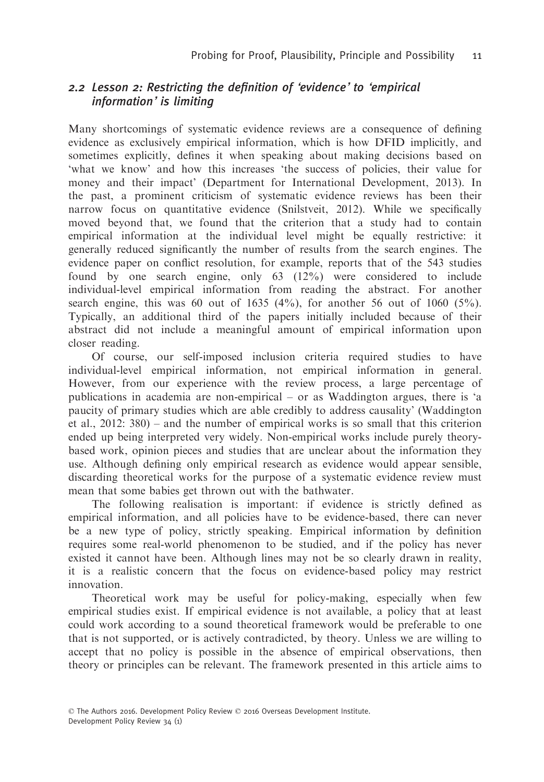### 2.2 Lesson 2: Restricting the definition of 'evidence' to 'empirical information' is limiting

Many shortcomings of systematic evidence reviews are a consequence of defining evidence as exclusively empirical information, which is how DFID implicitly, and sometimes explicitly, defines it when speaking about making decisions based on 'what we know' and how this increases 'the success of policies, their value for money and their impact' (Department for International Development, 2013). In the past, a prominent criticism of systematic evidence reviews has been their narrow focus on quantitative evidence (Snilstveit, 2012). While we specifically moved beyond that, we found that the criterion that a study had to contain empirical information at the individual level might be equally restrictive: it generally reduced significantly the number of results from the search engines. The evidence paper on conflict resolution, for example, reports that of the 543 studies found by one search engine, only 63 (12%) were considered to include individual-level empirical information from reading the abstract. For another search engine, this was 60 out of 1635  $(4\%)$ , for another 56 out of 1060  $(5\%)$ . Typically, an additional third of the papers initially included because of their abstract did not include a meaningful amount of empirical information upon closer reading.

Of course, our self-imposed inclusion criteria required studies to have individual-level empirical information, not empirical information in general. However, from our experience with the review process, a large percentage of publications in academia are non-empirical – or as Waddington argues, there is 'a paucity of primary studies which are able credibly to address causality' (Waddington et al., 2012: 380) – and the number of empirical works is so small that this criterion ended up being interpreted very widely. Non-empirical works include purely theorybased work, opinion pieces and studies that are unclear about the information they use. Although defining only empirical research as evidence would appear sensible, discarding theoretical works for the purpose of a systematic evidence review must mean that some babies get thrown out with the bathwater.

The following realisation is important: if evidence is strictly defined as empirical information, and all policies have to be evidence-based, there can never be a new type of policy, strictly speaking. Empirical information by definition requires some real-world phenomenon to be studied, and if the policy has never existed it cannot have been. Although lines may not be so clearly drawn in reality, it is a realistic concern that the focus on evidence-based policy may restrict innovation.

Theoretical work may be useful for policy-making, especially when few empirical studies exist. If empirical evidence is not available, a policy that at least could work according to a sound theoretical framework would be preferable to one that is not supported, or is actively contradicted, by theory. Unless we are willing to accept that no policy is possible in the absence of empirical observations, then theory or principles can be relevant. The framework presented in this article aims to

<sup>©</sup> The Authors 2016. Development Policy Review © 2016 Overseas Development Institute.

Development Policy Review 34 (1)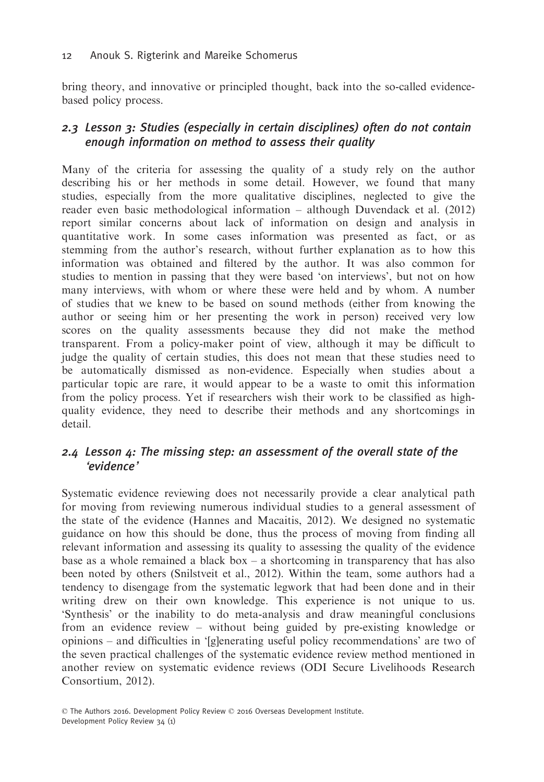bring theory, and innovative or principled thought, back into the so-called evidencebased policy process.

### 2.3 Lesson 3: Studies (especially in certain disciplines) often do not contain enough information on method to assess their quality

Many of the criteria for assessing the quality of a study rely on the author describing his or her methods in some detail. However, we found that many studies, especially from the more qualitative disciplines, neglected to give the reader even basic methodological information – although Duvendack et al. (2012) report similar concerns about lack of information on design and analysis in quantitative work. In some cases information was presented as fact, or as stemming from the author's research, without further explanation as to how this information was obtained and filtered by the author. It was also common for studies to mention in passing that they were based 'on interviews', but not on how many interviews, with whom or where these were held and by whom. A number of studies that we knew to be based on sound methods (either from knowing the author or seeing him or her presenting the work in person) received very low scores on the quality assessments because they did not make the method transparent. From a policy-maker point of view, although it may be difficult to judge the quality of certain studies, this does not mean that these studies need to be automatically dismissed as non-evidence. Especially when studies about a particular topic are rare, it would appear to be a waste to omit this information from the policy process. Yet if researchers wish their work to be classified as highquality evidence, they need to describe their methods and any shortcomings in detail.

### 2.4 Lesson 4: The missing step: an assessment of the overall state of the 'evidence'

Systematic evidence reviewing does not necessarily provide a clear analytical path for moving from reviewing numerous individual studies to a general assessment of the state of the evidence (Hannes and Macaitis, 2012). We designed no systematic guidance on how this should be done, thus the process of moving from finding all relevant information and assessing its quality to assessing the quality of the evidence base as a whole remained a black box  $-$  a shortcoming in transparency that has also been noted by others (Snilstveit et al., 2012). Within the team, some authors had a tendency to disengage from the systematic legwork that had been done and in their writing drew on their own knowledge. This experience is not unique to us. 'Synthesis' or the inability to do meta-analysis and draw meaningful conclusions from an evidence review – without being guided by pre-existing knowledge or opinions – and difficulties in '[g]enerating useful policy recommendations' are two of the seven practical challenges of the systematic evidence review method mentioned in another review on systematic evidence reviews (ODI Secure Livelihoods Research Consortium, 2012).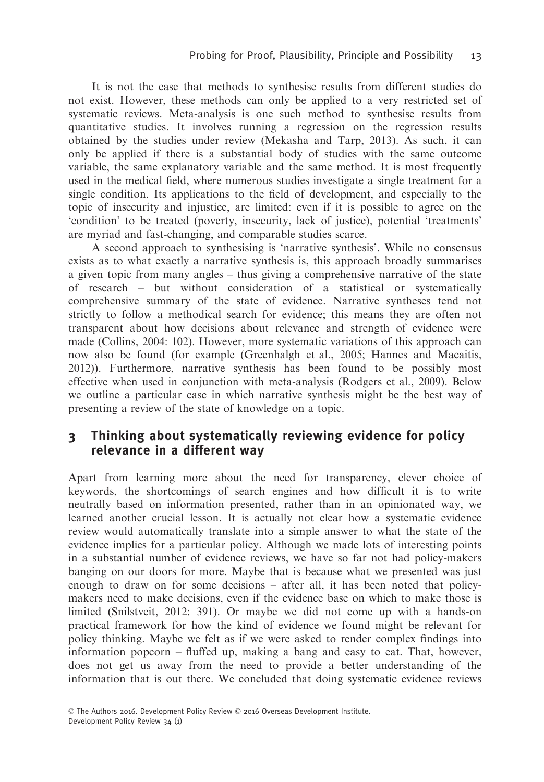It is not the case that methods to synthesise results from different studies do not exist. However, these methods can only be applied to a very restricted set of systematic reviews. Meta-analysis is one such method to synthesise results from quantitative studies. It involves running a regression on the regression results obtained by the studies under review (Mekasha and Tarp, 2013). As such, it can only be applied if there is a substantial body of studies with the same outcome variable, the same explanatory variable and the same method. It is most frequently used in the medical field, where numerous studies investigate a single treatment for a single condition. Its applications to the field of development, and especially to the topic of insecurity and injustice, are limited: even if it is possible to agree on the 'condition' to be treated (poverty, insecurity, lack of justice), potential 'treatments' are myriad and fast-changing, and comparable studies scarce.

A second approach to synthesising is 'narrative synthesis'. While no consensus exists as to what exactly a narrative synthesis is, this approach broadly summarises a given topic from many angles – thus giving a comprehensive narrative of the state of research – but without consideration of a statistical or systematically comprehensive summary of the state of evidence. Narrative syntheses tend not strictly to follow a methodical search for evidence; this means they are often not transparent about how decisions about relevance and strength of evidence were made (Collins, 2004: 102). However, more systematic variations of this approach can now also be found (for example (Greenhalgh et al., 2005; Hannes and Macaitis, 2012)). Furthermore, narrative synthesis has been found to be possibly most effective when used in conjunction with meta-analysis (Rodgers et al., 2009). Below we outline a particular case in which narrative synthesis might be the best way of presenting a review of the state of knowledge on a topic.

## 3 Thinking about systematically reviewing evidence for policy relevance in a different way

Apart from learning more about the need for transparency, clever choice of keywords, the shortcomings of search engines and how difficult it is to write neutrally based on information presented, rather than in an opinionated way, we learned another crucial lesson. It is actually not clear how a systematic evidence review would automatically translate into a simple answer to what the state of the evidence implies for a particular policy. Although we made lots of interesting points in a substantial number of evidence reviews, we have so far not had policy-makers banging on our doors for more. Maybe that is because what we presented was just enough to draw on for some decisions – after all, it has been noted that policymakers need to make decisions, even if the evidence base on which to make those is limited (Snilstveit, 2012: 391). Or maybe we did not come up with a hands-on practical framework for how the kind of evidence we found might be relevant for policy thinking. Maybe we felt as if we were asked to render complex findings into information popcorn – fluffed up, making a bang and easy to eat. That, however, does not get us away from the need to provide a better understanding of the information that is out there. We concluded that doing systematic evidence reviews

<sup>©</sup> The Authors 2016. Development Policy Review © 2016 Overseas Development Institute.

Development Policy Review 34 (1)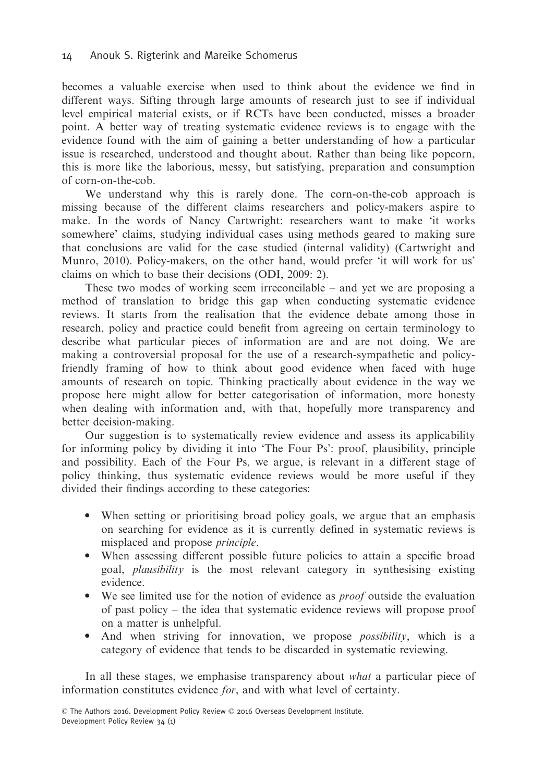becomes a valuable exercise when used to think about the evidence we find in different ways. Sifting through large amounts of research just to see if individual level empirical material exists, or if RCTs have been conducted, misses a broader point. A better way of treating systematic evidence reviews is to engage with the evidence found with the aim of gaining a better understanding of how a particular issue is researched, understood and thought about. Rather than being like popcorn, this is more like the laborious, messy, but satisfying, preparation and consumption of corn-on-the-cob.

We understand why this is rarely done. The corn-on-the-cob approach is missing because of the different claims researchers and policy-makers aspire to make. In the words of Nancy Cartwright: researchers want to make 'it works somewhere' claims, studying individual cases using methods geared to making sure that conclusions are valid for the case studied (internal validity) (Cartwright and Munro, 2010). Policy-makers, on the other hand, would prefer 'it will work for us' claims on which to base their decisions (ODI, 2009: 2).

These two modes of working seem irreconcilable – and yet we are proposing a method of translation to bridge this gap when conducting systematic evidence reviews. It starts from the realisation that the evidence debate among those in research, policy and practice could benefit from agreeing on certain terminology to describe what particular pieces of information are and are not doing. We are making a controversial proposal for the use of a research-sympathetic and policyfriendly framing of how to think about good evidence when faced with huge amounts of research on topic. Thinking practically about evidence in the way we propose here might allow for better categorisation of information, more honesty when dealing with information and, with that, hopefully more transparency and better decision-making.

Our suggestion is to systematically review evidence and assess its applicability for informing policy by dividing it into 'The Four Ps': proof, plausibility, principle and possibility. Each of the Four Ps, we argue, is relevant in a different stage of policy thinking, thus systematic evidence reviews would be more useful if they divided their findings according to these categories:

- When setting or prioritising broad policy goals, we argue that an emphasis on searching for evidence as it is currently defined in systematic reviews is misplaced and propose principle.
- When assessing different possible future policies to attain a specific broad goal, plausibility is the most relevant category in synthesising existing evidence.
- We see limited use for the notion of evidence as *proof* outside the evaluation of past policy – the idea that systematic evidence reviews will propose proof on a matter is unhelpful.
- And when striving for innovation, we propose *possibility*, which is a category of evidence that tends to be discarded in systematic reviewing.

In all these stages, we emphasise transparency about what a particular piece of information constitutes evidence for, and with what level of certainty.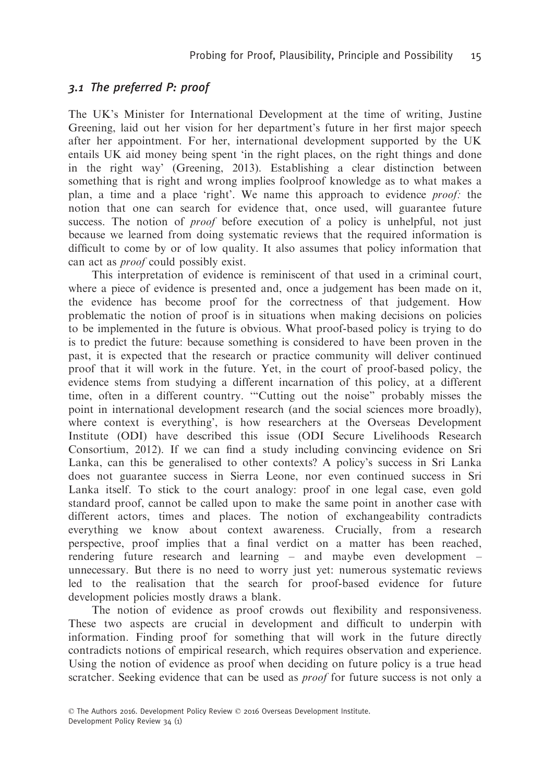### 3.1 The preferred P: proof

The UK's Minister for International Development at the time of writing, Justine Greening, laid out her vision for her department's future in her first major speech after her appointment. For her, international development supported by the UK entails UK aid money being spent 'in the right places, on the right things and done in the right way' (Greening, 2013). Establishing a clear distinction between something that is right and wrong implies foolproof knowledge as to what makes a plan, a time and a place 'right'. We name this approach to evidence proof: the notion that one can search for evidence that, once used, will guarantee future success. The notion of *proof* before execution of a policy is unhelpful, not just because we learned from doing systematic reviews that the required information is difficult to come by or of low quality. It also assumes that policy information that can act as proof could possibly exist.

This interpretation of evidence is reminiscent of that used in a criminal court, where a piece of evidence is presented and, once a judgement has been made on it, the evidence has become proof for the correctness of that judgement. How problematic the notion of proof is in situations when making decisions on policies to be implemented in the future is obvious. What proof-based policy is trying to do is to predict the future: because something is considered to have been proven in the past, it is expected that the research or practice community will deliver continued proof that it will work in the future. Yet, in the court of proof-based policy, the evidence stems from studying a different incarnation of this policy, at a different time, often in a different country. '"Cutting out the noise" probably misses the point in international development research (and the social sciences more broadly), where context is everything', is how researchers at the Overseas Development Institute (ODI) have described this issue (ODI Secure Livelihoods Research Consortium, 2012). If we can find a study including convincing evidence on Sri Lanka, can this be generalised to other contexts? A policy's success in Sri Lanka does not guarantee success in Sierra Leone, nor even continued success in Sri Lanka itself. To stick to the court analogy: proof in one legal case, even gold standard proof, cannot be called upon to make the same point in another case with different actors, times and places. The notion of exchangeability contradicts everything we know about context awareness. Crucially, from a research perspective, proof implies that a final verdict on a matter has been reached, rendering future research and learning – and maybe even development – unnecessary. But there is no need to worry just yet: numerous systematic reviews led to the realisation that the search for proof-based evidence for future development policies mostly draws a blank.

The notion of evidence as proof crowds out flexibility and responsiveness. These two aspects are crucial in development and difficult to underpin with information. Finding proof for something that will work in the future directly contradicts notions of empirical research, which requires observation and experience. Using the notion of evidence as proof when deciding on future policy is a true head scratcher. Seeking evidence that can be used as *proof* for future success is not only a

<sup>©</sup> The Authors 2016. Development Policy Review © 2016 Overseas Development Institute.

Development Policy Review 34 (1)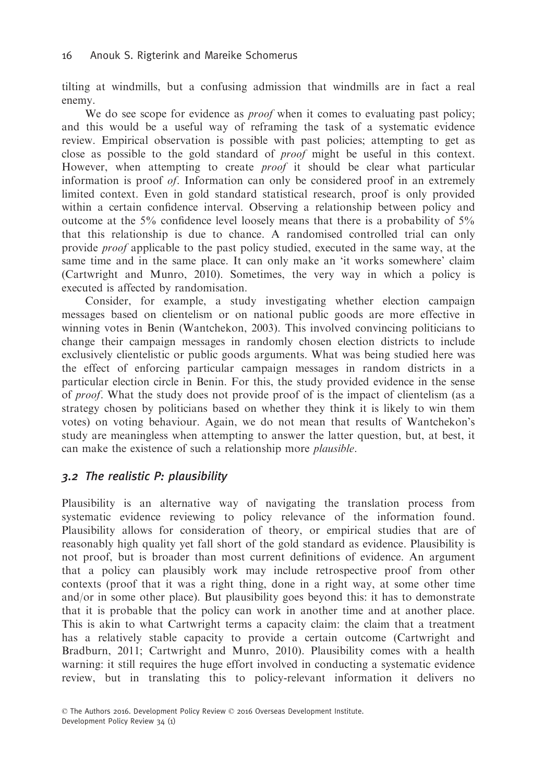tilting at windmills, but a confusing admission that windmills are in fact a real enemy.

We do see scope for evidence as *proof* when it comes to evaluating past policy; and this would be a useful way of reframing the task of a systematic evidence review. Empirical observation is possible with past policies; attempting to get as close as possible to the gold standard of proof might be useful in this context. However, when attempting to create *proof* it should be clear what particular information is proof of. Information can only be considered proof in an extremely limited context. Even in gold standard statistical research, proof is only provided within a certain confidence interval. Observing a relationship between policy and outcome at the 5% confidence level loosely means that there is a probability of 5% that this relationship is due to chance. A randomised controlled trial can only provide proof applicable to the past policy studied, executed in the same way, at the same time and in the same place. It can only make an 'it works somewhere' claim (Cartwright and Munro, 2010). Sometimes, the very way in which a policy is executed is affected by randomisation.

Consider, for example, a study investigating whether election campaign messages based on clientelism or on national public goods are more effective in winning votes in Benin (Wantchekon, 2003). This involved convincing politicians to change their campaign messages in randomly chosen election districts to include exclusively clientelistic or public goods arguments. What was being studied here was the effect of enforcing particular campaign messages in random districts in a particular election circle in Benin. For this, the study provided evidence in the sense of proof. What the study does not provide proof of is the impact of clientelism (as a strategy chosen by politicians based on whether they think it is likely to win them votes) on voting behaviour. Again, we do not mean that results of Wantchekon's study are meaningless when attempting to answer the latter question, but, at best, it can make the existence of such a relationship more plausible.

#### 3.2 The realistic P: plausibility

Plausibility is an alternative way of navigating the translation process from systematic evidence reviewing to policy relevance of the information found. Plausibility allows for consideration of theory, or empirical studies that are of reasonably high quality yet fall short of the gold standard as evidence. Plausibility is not proof, but is broader than most current definitions of evidence. An argument that a policy can plausibly work may include retrospective proof from other contexts (proof that it was a right thing, done in a right way, at some other time and/or in some other place). But plausibility goes beyond this: it has to demonstrate that it is probable that the policy can work in another time and at another place. This is akin to what Cartwright terms a capacity claim: the claim that a treatment has a relatively stable capacity to provide a certain outcome (Cartwright and Bradburn, 2011; Cartwright and Munro, 2010). Plausibility comes with a health warning: it still requires the huge effort involved in conducting a systematic evidence review, but in translating this to policy-relevant information it delivers no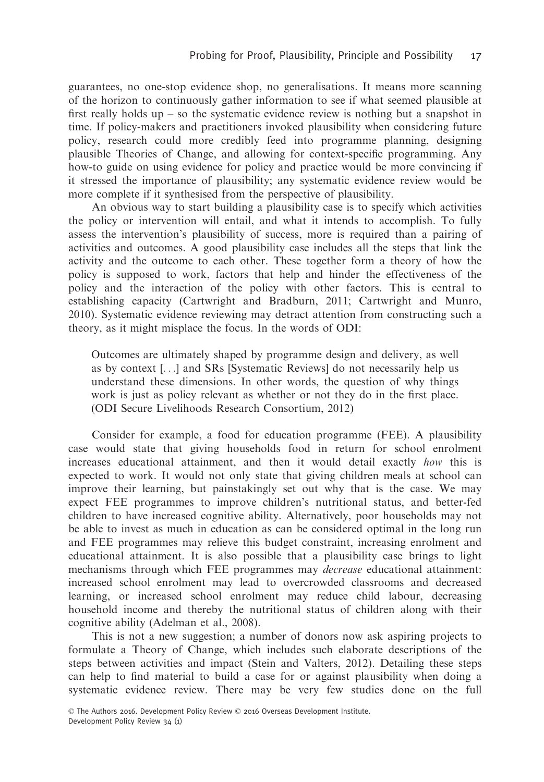guarantees, no one-stop evidence shop, no generalisations. It means more scanning of the horizon to continuously gather information to see if what seemed plausible at first really holds  $up - so$  the systematic evidence review is nothing but a snapshot in time. If policy-makers and practitioners invoked plausibility when considering future policy, research could more credibly feed into programme planning, designing plausible Theories of Change, and allowing for context-specific programming. Any how-to guide on using evidence for policy and practice would be more convincing if it stressed the importance of plausibility; any systematic evidence review would be more complete if it synthesised from the perspective of plausibility.

An obvious way to start building a plausibility case is to specify which activities the policy or intervention will entail, and what it intends to accomplish. To fully assess the intervention's plausibility of success, more is required than a pairing of activities and outcomes. A good plausibility case includes all the steps that link the activity and the outcome to each other. These together form a theory of how the policy is supposed to work, factors that help and hinder the effectiveness of the policy and the interaction of the policy with other factors. This is central to establishing capacity (Cartwright and Bradburn, 2011; Cartwright and Munro, 2010). Systematic evidence reviewing may detract attention from constructing such a theory, as it might misplace the focus. In the words of ODI:

Outcomes are ultimately shaped by programme design and delivery, as well as by context [...] and SRs [Systematic Reviews] do not necessarily help us understand these dimensions. In other words, the question of why things work is just as policy relevant as whether or not they do in the first place. (ODI Secure Livelihoods Research Consortium, 2012)

Consider for example, a food for education programme (FEE). A plausibility case would state that giving households food in return for school enrolment increases educational attainment, and then it would detail exactly how this is expected to work. It would not only state that giving children meals at school can improve their learning, but painstakingly set out why that is the case. We may expect FEE programmes to improve children's nutritional status, and better-fed children to have increased cognitive ability. Alternatively, poor households may not be able to invest as much in education as can be considered optimal in the long run and FEE programmes may relieve this budget constraint, increasing enrolment and educational attainment. It is also possible that a plausibility case brings to light mechanisms through which FEE programmes may decrease educational attainment: increased school enrolment may lead to overcrowded classrooms and decreased learning, or increased school enrolment may reduce child labour, decreasing household income and thereby the nutritional status of children along with their cognitive ability (Adelman et al., 2008).

This is not a new suggestion; a number of donors now ask aspiring projects to formulate a Theory of Change, which includes such elaborate descriptions of the steps between activities and impact (Stein and Valters, 2012). Detailing these steps can help to find material to build a case for or against plausibility when doing a systematic evidence review. There may be very few studies done on the full

<sup>©</sup> The Authors 2016. Development Policy Review © 2016 Overseas Development Institute.

Development Policy Review 34 (1)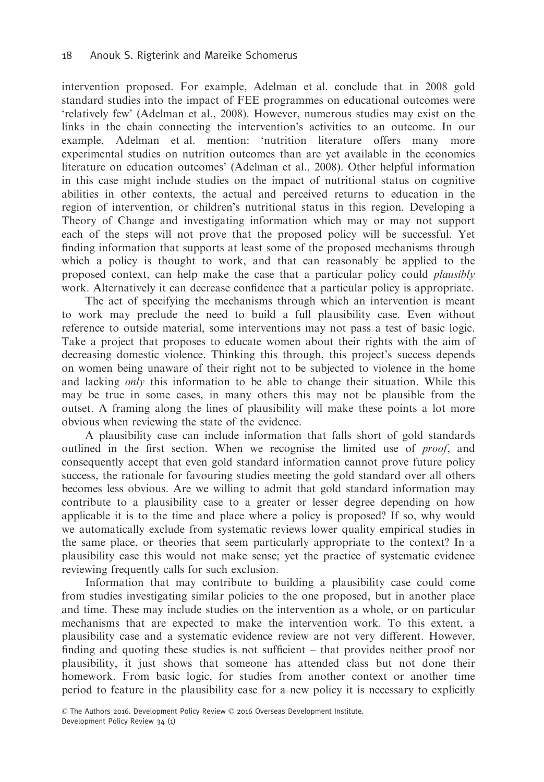intervention proposed. For example, Adelman et al. conclude that in 2008 gold standard studies into the impact of FEE programmes on educational outcomes were 'relatively few' (Adelman et al., 2008). However, numerous studies may exist on the links in the chain connecting the intervention's activities to an outcome. In our example, Adelman et al. mention: 'nutrition literature offers many more experimental studies on nutrition outcomes than are yet available in the economics literature on education outcomes' (Adelman et al., 2008). Other helpful information in this case might include studies on the impact of nutritional status on cognitive abilities in other contexts, the actual and perceived returns to education in the region of intervention, or children's nutritional status in this region. Developing a Theory of Change and investigating information which may or may not support each of the steps will not prove that the proposed policy will be successful. Yet finding information that supports at least some of the proposed mechanisms through which a policy is thought to work, and that can reasonably be applied to the proposed context, can help make the case that a particular policy could plausibly work. Alternatively it can decrease confidence that a particular policy is appropriate.

The act of specifying the mechanisms through which an intervention is meant to work may preclude the need to build a full plausibility case. Even without reference to outside material, some interventions may not pass a test of basic logic. Take a project that proposes to educate women about their rights with the aim of decreasing domestic violence. Thinking this through, this project's success depends on women being unaware of their right not to be subjected to violence in the home and lacking only this information to be able to change their situation. While this may be true in some cases, in many others this may not be plausible from the outset. A framing along the lines of plausibility will make these points a lot more obvious when reviewing the state of the evidence.

A plausibility case can include information that falls short of gold standards outlined in the first section. When we recognise the limited use of proof, and consequently accept that even gold standard information cannot prove future policy success, the rationale for favouring studies meeting the gold standard over all others becomes less obvious. Are we willing to admit that gold standard information may contribute to a plausibility case to a greater or lesser degree depending on how applicable it is to the time and place where a policy is proposed? If so, why would we automatically exclude from systematic reviews lower quality empirical studies in the same place, or theories that seem particularly appropriate to the context? In a plausibility case this would not make sense; yet the practice of systematic evidence reviewing frequently calls for such exclusion.

Information that may contribute to building a plausibility case could come from studies investigating similar policies to the one proposed, but in another place and time. These may include studies on the intervention as a whole, or on particular mechanisms that are expected to make the intervention work. To this extent, a plausibility case and a systematic evidence review are not very different. However, finding and quoting these studies is not sufficient – that provides neither proof nor plausibility, it just shows that someone has attended class but not done their homework. From basic logic, for studies from another context or another time period to feature in the plausibility case for a new policy it is necessary to explicitly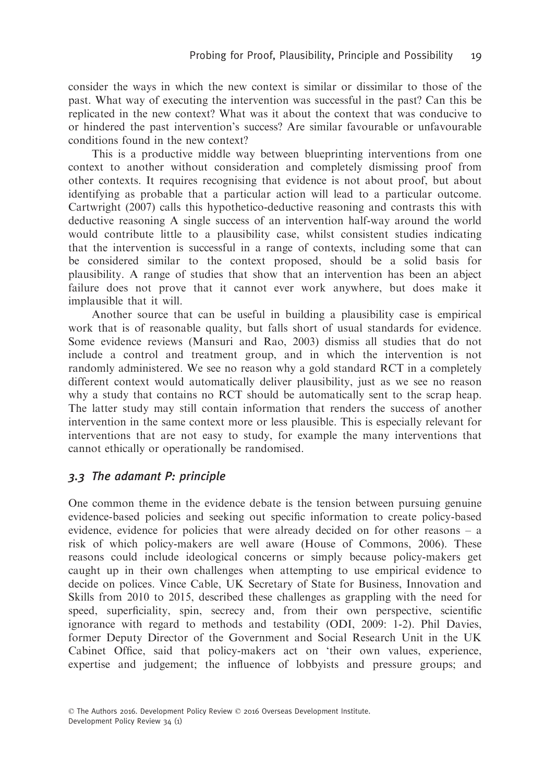consider the ways in which the new context is similar or dissimilar to those of the past. What way of executing the intervention was successful in the past? Can this be replicated in the new context? What was it about the context that was conducive to or hindered the past intervention's success? Are similar favourable or unfavourable conditions found in the new context?

This is a productive middle way between blueprinting interventions from one context to another without consideration and completely dismissing proof from other contexts. It requires recognising that evidence is not about proof, but about identifying as probable that a particular action will lead to a particular outcome. Cartwright (2007) calls this hypothetico-deductive reasoning and contrasts this with deductive reasoning A single success of an intervention half-way around the world would contribute little to a plausibility case, whilst consistent studies indicating that the intervention is successful in a range of contexts, including some that can be considered similar to the context proposed, should be a solid basis for plausibility. A range of studies that show that an intervention has been an abject failure does not prove that it cannot ever work anywhere, but does make it implausible that it will.

Another source that can be useful in building a plausibility case is empirical work that is of reasonable quality, but falls short of usual standards for evidence. Some evidence reviews (Mansuri and Rao, 2003) dismiss all studies that do not include a control and treatment group, and in which the intervention is not randomly administered. We see no reason why a gold standard RCT in a completely different context would automatically deliver plausibility, just as we see no reason why a study that contains no RCT should be automatically sent to the scrap heap. The latter study may still contain information that renders the success of another intervention in the same context more or less plausible. This is especially relevant for interventions that are not easy to study, for example the many interventions that cannot ethically or operationally be randomised.

#### 3.3 The adamant P: principle

One common theme in the evidence debate is the tension between pursuing genuine evidence-based policies and seeking out specific information to create policy-based evidence, evidence for policies that were already decided on for other reasons – a risk of which policy-makers are well aware (House of Commons, 2006). These reasons could include ideological concerns or simply because policy-makers get caught up in their own challenges when attempting to use empirical evidence to decide on polices. Vince Cable, UK Secretary of State for Business, Innovation and Skills from 2010 to 2015, described these challenges as grappling with the need for speed, superficiality, spin, secrecy and, from their own perspective, scientific ignorance with regard to methods and testability (ODI, 2009: 1-2). Phil Davies, former Deputy Director of the Government and Social Research Unit in the UK Cabinet Office, said that policy-makers act on 'their own values, experience, expertise and judgement; the influence of lobbyists and pressure groups; and

<sup>©</sup> The Authors 2016. Development Policy Review © 2016 Overseas Development Institute.

Development Policy Review 34 (1)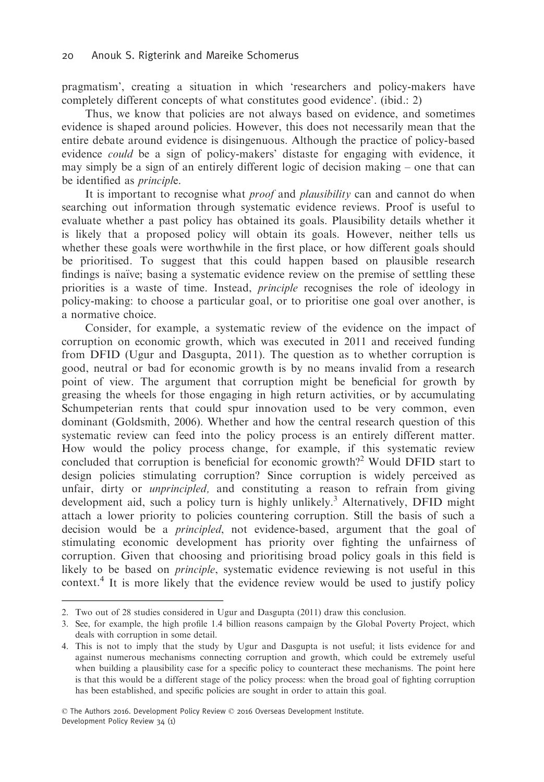pragmatism', creating a situation in which 'researchers and policy-makers have completely different concepts of what constitutes good evidence'. (ibid.: 2)

Thus, we know that policies are not always based on evidence, and sometimes evidence is shaped around policies. However, this does not necessarily mean that the entire debate around evidence is disingenuous. Although the practice of policy-based evidence *could* be a sign of policy-makers' distaste for engaging with evidence, it may simply be a sign of an entirely different logic of decision making – one that can be identified as principle.

It is important to recognise what *proof* and *plausibility* can and cannot do when searching out information through systematic evidence reviews. Proof is useful to evaluate whether a past policy has obtained its goals. Plausibility details whether it is likely that a proposed policy will obtain its goals. However, neither tells us whether these goals were worthwhile in the first place, or how different goals should be prioritised. To suggest that this could happen based on plausible research findings is naïve; basing a systematic evidence review on the premise of settling these priorities is a waste of time. Instead, principle recognises the role of ideology in policy-making: to choose a particular goal, or to prioritise one goal over another, is a normative choice.

Consider, for example, a systematic review of the evidence on the impact of corruption on economic growth, which was executed in 2011 and received funding from DFID (Ugur and Dasgupta, 2011). The question as to whether corruption is good, neutral or bad for economic growth is by no means invalid from a research point of view. The argument that corruption might be beneficial for growth by greasing the wheels for those engaging in high return activities, or by accumulating Schumpeterian rents that could spur innovation used to be very common, even dominant (Goldsmith, 2006). Whether and how the central research question of this systematic review can feed into the policy process is an entirely different matter. How would the policy process change, for example, if this systematic review concluded that corruption is beneficial for economic growth?<sup>2</sup> Would DFID start to design policies stimulating corruption? Since corruption is widely perceived as unfair, dirty or unprincipled, and constituting a reason to refrain from giving development aid, such a policy turn is highly unlikely.<sup>3</sup> Alternatively, DFID might attach a lower priority to policies countering corruption. Still the basis of such a decision would be a principled, not evidence-based, argument that the goal of stimulating economic development has priority over fighting the unfairness of corruption. Given that choosing and prioritising broad policy goals in this field is likely to be based on principle, systematic evidence reviewing is not useful in this context.<sup>4</sup> It is more likely that the evidence review would be used to justify policy

<sup>2.</sup> Two out of 28 studies considered in Ugur and Dasgupta (2011) draw this conclusion.

<sup>3.</sup> See, for example, the high profile 1.4 billion reasons campaign by the Global Poverty Project, which deals with corruption in some detail.

<sup>4.</sup> This is not to imply that the study by Ugur and Dasgupta is not useful; it lists evidence for and against numerous mechanisms connecting corruption and growth, which could be extremely useful when building a plausibility case for a specific policy to counteract these mechanisms. The point here is that this would be a different stage of the policy process: when the broad goal of fighting corruption has been established, and specific policies are sought in order to attain this goal.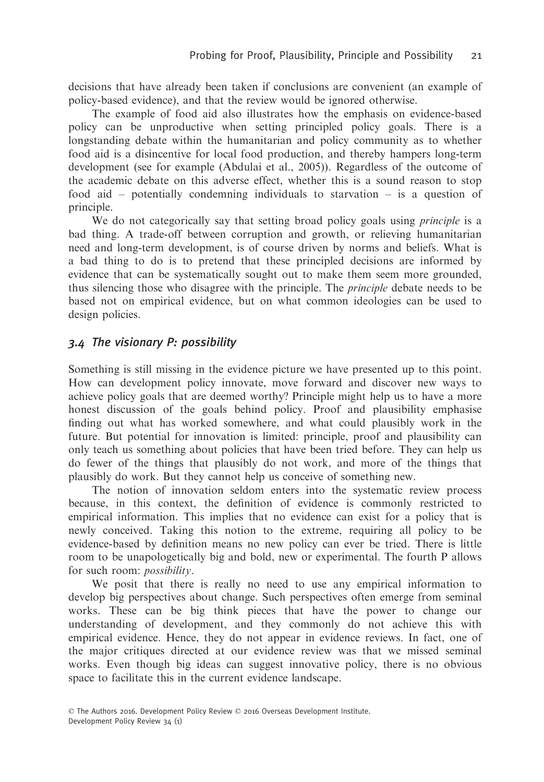decisions that have already been taken if conclusions are convenient (an example of policy-based evidence), and that the review would be ignored otherwise.

The example of food aid also illustrates how the emphasis on evidence-based policy can be unproductive when setting principled policy goals. There is a longstanding debate within the humanitarian and policy community as to whether food aid is a disincentive for local food production, and thereby hampers long-term development (see for example (Abdulai et al., 2005)). Regardless of the outcome of the academic debate on this adverse effect, whether this is a sound reason to stop food aid – potentially condemning individuals to starvation – is a question of principle.

We do not categorically say that setting broad policy goals using *principle* is a bad thing. A trade-off between corruption and growth, or relieving humanitarian need and long-term development, is of course driven by norms and beliefs. What is a bad thing to do is to pretend that these principled decisions are informed by evidence that can be systematically sought out to make them seem more grounded, thus silencing those who disagree with the principle. The principle debate needs to be based not on empirical evidence, but on what common ideologies can be used to design policies.

#### 3.4 The visionary P: possibility

Something is still missing in the evidence picture we have presented up to this point. How can development policy innovate, move forward and discover new ways to achieve policy goals that are deemed worthy? Principle might help us to have a more honest discussion of the goals behind policy. Proof and plausibility emphasise finding out what has worked somewhere, and what could plausibly work in the future. But potential for innovation is limited: principle, proof and plausibility can only teach us something about policies that have been tried before. They can help us do fewer of the things that plausibly do not work, and more of the things that plausibly do work. But they cannot help us conceive of something new.

The notion of innovation seldom enters into the systematic review process because, in this context, the definition of evidence is commonly restricted to empirical information. This implies that no evidence can exist for a policy that is newly conceived. Taking this notion to the extreme, requiring all policy to be evidence-based by definition means no new policy can ever be tried. There is little room to be unapologetically big and bold, new or experimental. The fourth P allows for such room: possibility.

We posit that there is really no need to use any empirical information to develop big perspectives about change. Such perspectives often emerge from seminal works. These can be big think pieces that have the power to change our understanding of development, and they commonly do not achieve this with empirical evidence. Hence, they do not appear in evidence reviews. In fact, one of the major critiques directed at our evidence review was that we missed seminal works. Even though big ideas can suggest innovative policy, there is no obvious space to facilitate this in the current evidence landscape.

<sup>©</sup> The Authors 2016. Development Policy Review © 2016 Overseas Development Institute.

Development Policy Review 34 (1)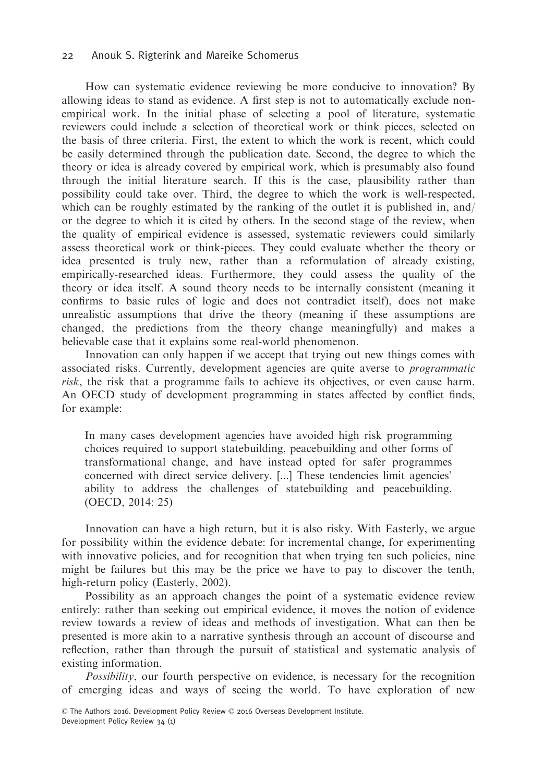#### 22 Anouk S. Rigterink and Mareike Schomerus

How can systematic evidence reviewing be more conducive to innovation? By allowing ideas to stand as evidence. A first step is not to automatically exclude nonempirical work. In the initial phase of selecting a pool of literature, systematic reviewers could include a selection of theoretical work or think pieces, selected on the basis of three criteria. First, the extent to which the work is recent, which could be easily determined through the publication date. Second, the degree to which the theory or idea is already covered by empirical work, which is presumably also found through the initial literature search. If this is the case, plausibility rather than possibility could take over. Third, the degree to which the work is well-respected, which can be roughly estimated by the ranking of the outlet it is published in, and/ or the degree to which it is cited by others. In the second stage of the review, when the quality of empirical evidence is assessed, systematic reviewers could similarly assess theoretical work or think-pieces. They could evaluate whether the theory or idea presented is truly new, rather than a reformulation of already existing, empirically-researched ideas. Furthermore, they could assess the quality of the theory or idea itself. A sound theory needs to be internally consistent (meaning it confirms to basic rules of logic and does not contradict itself), does not make unrealistic assumptions that drive the theory (meaning if these assumptions are changed, the predictions from the theory change meaningfully) and makes a believable case that it explains some real-world phenomenon.

Innovation can only happen if we accept that trying out new things comes with associated risks. Currently, development agencies are quite averse to programmatic risk, the risk that a programme fails to achieve its objectives, or even cause harm. An OECD study of development programming in states affected by conflict finds, for example:

In many cases development agencies have avoided high risk programming choices required to support statebuilding, peacebuilding and other forms of transformational change, and have instead opted for safer programmes concerned with direct service delivery. [...] These tendencies limit agencies' ability to address the challenges of statebuilding and peacebuilding. (OECD, 2014: 25)

Innovation can have a high return, but it is also risky. With Easterly, we argue for possibility within the evidence debate: for incremental change, for experimenting with innovative policies, and for recognition that when trying ten such policies, nine might be failures but this may be the price we have to pay to discover the tenth, high-return policy (Easterly, 2002).

Possibility as an approach changes the point of a systematic evidence review entirely: rather than seeking out empirical evidence, it moves the notion of evidence review towards a review of ideas and methods of investigation. What can then be presented is more akin to a narrative synthesis through an account of discourse and reflection, rather than through the pursuit of statistical and systematic analysis of existing information.

Possibility, our fourth perspective on evidence, is necessary for the recognition of emerging ideas and ways of seeing the world. To have exploration of new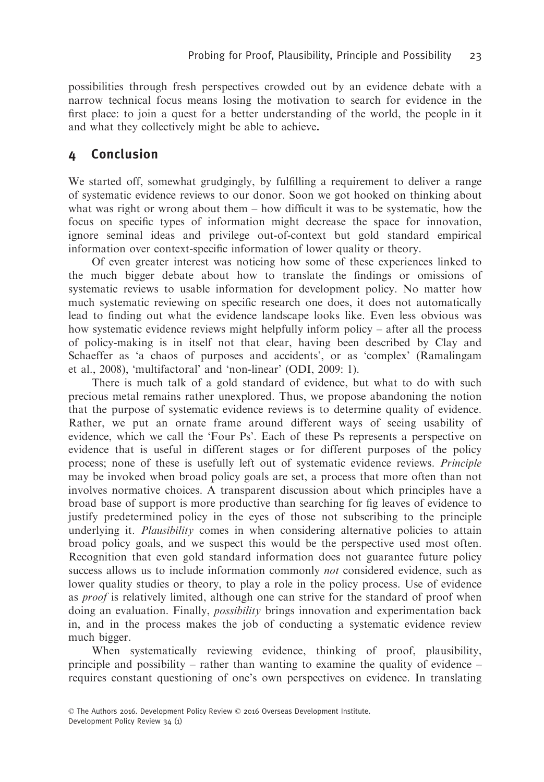possibilities through fresh perspectives crowded out by an evidence debate with a narrow technical focus means losing the motivation to search for evidence in the first place: to join a quest for a better understanding of the world, the people in it and what they collectively might be able to achieve.

### 4 Conclusion

We started off, somewhat grudgingly, by fulfilling a requirement to deliver a range of systematic evidence reviews to our donor. Soon we got hooked on thinking about what was right or wrong about them – how difficult it was to be systematic, how the focus on specific types of information might decrease the space for innovation, ignore seminal ideas and privilege out-of-context but gold standard empirical information over context-specific information of lower quality or theory.

Of even greater interest was noticing how some of these experiences linked to the much bigger debate about how to translate the findings or omissions of systematic reviews to usable information for development policy. No matter how much systematic reviewing on specific research one does, it does not automatically lead to finding out what the evidence landscape looks like. Even less obvious was how systematic evidence reviews might helpfully inform policy – after all the process of policy-making is in itself not that clear, having been described by Clay and Schaeffer as 'a chaos of purposes and accidents', or as 'complex' (Ramalingam et al., 2008), 'multifactoral' and 'non-linear' (ODI, 2009: 1).

There is much talk of a gold standard of evidence, but what to do with such precious metal remains rather unexplored. Thus, we propose abandoning the notion that the purpose of systematic evidence reviews is to determine quality of evidence. Rather, we put an ornate frame around different ways of seeing usability of evidence, which we call the 'Four Ps'. Each of these Ps represents a perspective on evidence that is useful in different stages or for different purposes of the policy process; none of these is usefully left out of systematic evidence reviews. Principle may be invoked when broad policy goals are set, a process that more often than not involves normative choices. A transparent discussion about which principles have a broad base of support is more productive than searching for fig leaves of evidence to justify predetermined policy in the eyes of those not subscribing to the principle underlying it. Plausibility comes in when considering alternative policies to attain broad policy goals, and we suspect this would be the perspective used most often. Recognition that even gold standard information does not guarantee future policy success allows us to include information commonly not considered evidence, such as lower quality studies or theory, to play a role in the policy process. Use of evidence as proof is relatively limited, although one can strive for the standard of proof when doing an evaluation. Finally, possibility brings innovation and experimentation back in, and in the process makes the job of conducting a systematic evidence review much bigger.

When systematically reviewing evidence, thinking of proof, plausibility, principle and possibility – rather than wanting to examine the quality of evidence – requires constant questioning of one's own perspectives on evidence. In translating

<sup>©</sup> The Authors 2016. Development Policy Review © 2016 Overseas Development Institute.

Development Policy Review 34 (1)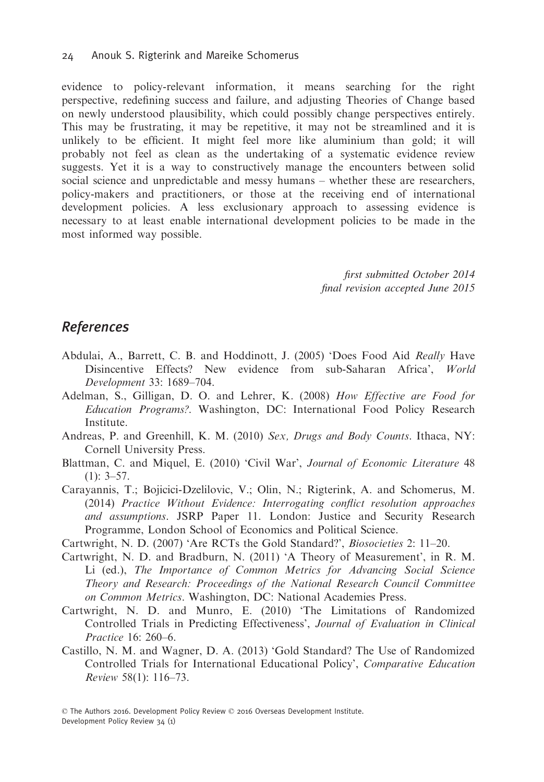evidence to policy-relevant information, it means searching for the right perspective, redefining success and failure, and adjusting Theories of Change based on newly understood plausibility, which could possibly change perspectives entirely. This may be frustrating, it may be repetitive, it may not be streamlined and it is unlikely to be efficient. It might feel more like aluminium than gold; it will probably not feel as clean as the undertaking of a systematic evidence review suggests. Yet it is a way to constructively manage the encounters between solid social science and unpredictable and messy humans – whether these are researchers, policy-makers and practitioners, or those at the receiving end of international development policies. A less exclusionary approach to assessing evidence is necessary to at least enable international development policies to be made in the most informed way possible.

> first submitted October 2014 final revision accepted June 2015

### References

- Abdulai, A., Barrett, C. B. and Hoddinott, J. (2005) 'Does Food Aid Really Have Disincentive Effects? New evidence from sub-Saharan Africa', World Development 33: 1689–704.
- Adelman, S., Gilligan, D. O. and Lehrer, K. (2008) How Effective are Food for Education Programs?. Washington, DC: International Food Policy Research Institute.
- Andreas, P. and Greenhill, K. M. (2010) Sex, Drugs and Body Counts. Ithaca, NY: Cornell University Press.
- Blattman, C. and Miquel, E. (2010) 'Civil War', Journal of Economic Literature 48  $(1): 3-57.$
- Carayannis, T.; Bojicici-Dzelilovic, V.; Olin, N.; Rigterink, A. and Schomerus, M. (2014) Practice Without Evidence: Interrogating conflict resolution approaches and assumptions. JSRP Paper 11. London: Justice and Security Research Programme, London School of Economics and Political Science.
- Cartwright, N. D. (2007) 'Are RCTs the Gold Standard?', Biosocieties 2: 11–20.
- Cartwright, N. D. and Bradburn, N. (2011) 'A Theory of Measurement', in R. M. Li (ed.), The Importance of Common Metrics for Advancing Social Science Theory and Research: Proceedings of the National Research Council Committee on Common Metrics. Washington, DC: National Academies Press.
- Cartwright, N. D. and Munro, E. (2010) 'The Limitations of Randomized Controlled Trials in Predicting Effectiveness', Journal of Evaluation in Clinical Practice 16: 260–6.
- Castillo, N. M. and Wagner, D. A. (2013) 'Gold Standard? The Use of Randomized Controlled Trials for International Educational Policy', Comparative Education Review 58(1): 116–73.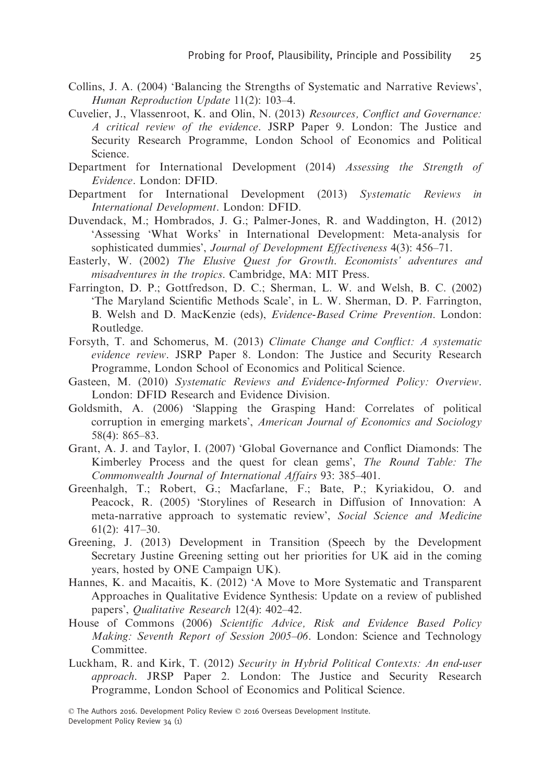- Collins, J. A. (2004) 'Balancing the Strengths of Systematic and Narrative Reviews', Human Reproduction Update 11(2): 103–4.
- Cuvelier, J., Vlassenroot, K. and Olin, N. (2013) Resources, Conflict and Governance: A critical review of the evidence. JSRP Paper 9. London: The Justice and Security Research Programme, London School of Economics and Political Science.
- Department for International Development (2014) Assessing the Strength of Evidence. London: DFID.
- Department for International Development (2013) Systematic Reviews in International Development. London: DFID.
- Duvendack, M.; Hombrados, J. G.; Palmer-Jones, R. and Waddington, H. (2012) 'Assessing 'What Works' in International Development: Meta-analysis for sophisticated dummies', Journal of Development Effectiveness 4(3): 456–71.
- Easterly, W. (2002) The Elusive Quest for Growth. Economists' adventures and misadventures in the tropics. Cambridge, MA: MIT Press.
- Farrington, D. P.; Gottfredson, D. C.; Sherman, L. W. and Welsh, B. C. (2002) 'The Maryland Scientific Methods Scale', in L. W. Sherman, D. P. Farrington, B. Welsh and D. MacKenzie (eds), Evidence-Based Crime Prevention. London: Routledge.
- Forsyth, T. and Schomerus, M. (2013) Climate Change and Conflict: A systematic evidence review. JSRP Paper 8. London: The Justice and Security Research Programme, London School of Economics and Political Science.
- Gasteen, M. (2010) Systematic Reviews and Evidence-Informed Policy: Overview. London: DFID Research and Evidence Division.
- Goldsmith, A. (2006) 'Slapping the Grasping Hand: Correlates of political corruption in emerging markets', American Journal of Economics and Sociology 58(4): 865–83.
- Grant, A. J. and Taylor, I. (2007) 'Global Governance and Conflict Diamonds: The Kimberley Process and the quest for clean gems', The Round Table: The Commonwealth Journal of International Affairs 93: 385–401.
- Greenhalgh, T.; Robert, G.; Macfarlane, F.; Bate, P.; Kyriakidou, O. and Peacock, R. (2005) 'Storylines of Research in Diffusion of Innovation: A meta-narrative approach to systematic review', Social Science and Medicine 61(2): 417–30.
- Greening, J. (2013) Development in Transition (Speech by the Development Secretary Justine Greening setting out her priorities for UK aid in the coming years, hosted by ONE Campaign UK).
- Hannes, K. and Macaitis, K. (2012) 'A Move to More Systematic and Transparent Approaches in Qualitative Evidence Synthesis: Update on a review of published papers', Qualitative Research 12(4): 402–42.
- House of Commons (2006) Scientific Advice, Risk and Evidence Based Policy Making: Seventh Report of Session 2005–06. London: Science and Technology Committee.
- Luckham, R. and Kirk, T. (2012) Security in Hybrid Political Contexts: An end-user approach. JRSP Paper 2. London: The Justice and Security Research Programme, London School of Economics and Political Science.

© The Authors 2016. Development Policy Review © 2016 Overseas Development Institute.

Development Policy Review 34 (1)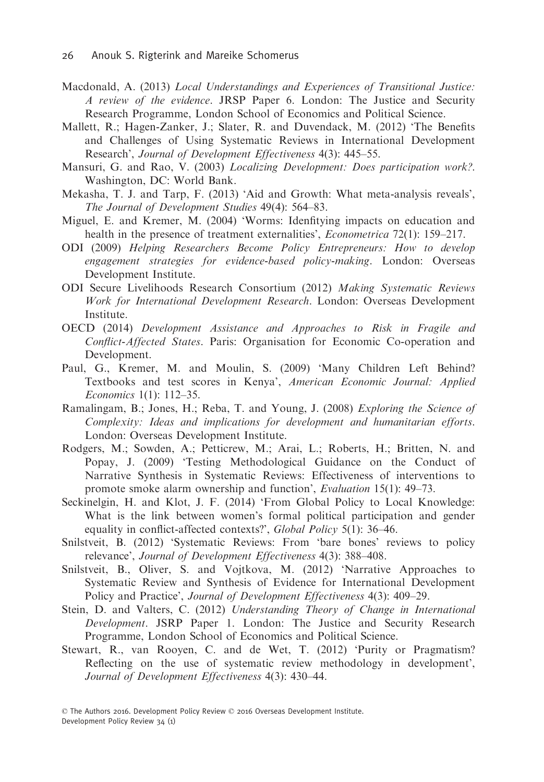- Macdonald, A. (2013) Local Understandings and Experiences of Transitional Justice: A review of the evidence. JRSP Paper 6. London: The Justice and Security Research Programme, London School of Economics and Political Science.
- Mallett, R.; Hagen-Zanker, J.; Slater, R. and Duvendack, M. (2012) 'The Benefits and Challenges of Using Systematic Reviews in International Development Research', Journal of Development Effectiveness 4(3): 445–55.
- Mansuri, G. and Rao, V. (2003) Localizing Development: Does participation work?. Washington, DC: World Bank.
- Mekasha, T. J. and Tarp, F. (2013) 'Aid and Growth: What meta-analysis reveals', The Journal of Development Studies 49(4): 564–83.
- Miguel, E. and Kremer, M. (2004) 'Worms: Idenfitying impacts on education and health in the presence of treatment externalities', Econometrica 72(1): 159–217.
- ODI (2009) Helping Researchers Become Policy Entrepreneurs: How to develop engagement strategies for evidence-based policy-making. London: Overseas Development Institute.
- ODI Secure Livelihoods Research Consortium (2012) Making Systematic Reviews Work for International Development Research. London: Overseas Development Institute.
- OECD (2014) Development Assistance and Approaches to Risk in Fragile and Conflict-Affected States. Paris: Organisation for Economic Co-operation and Development.
- Paul, G., Kremer, M. and Moulin, S. (2009) 'Many Children Left Behind? Textbooks and test scores in Kenya', American Economic Journal: Applied Economics 1(1): 112–35.
- Ramalingam, B.; Jones, H.; Reba, T. and Young, J. (2008) Exploring the Science of Complexity: Ideas and implications for development and humanitarian efforts. London: Overseas Development Institute.
- Rodgers, M.; Sowden, A.; Petticrew, M.; Arai, L.; Roberts, H.; Britten, N. and Popay, J. (2009) 'Testing Methodological Guidance on the Conduct of Narrative Synthesis in Systematic Reviews: Effectiveness of interventions to promote smoke alarm ownership and function', Evaluation 15(1): 49–73.
- Seckinelgin, H. and Klot, J. F. (2014) 'From Global Policy to Local Knowledge: What is the link between women's formal political participation and gender equality in conflict-affected contexts?', Global Policy 5(1): 36-46.
- Snilstveit, B. (2012) 'Systematic Reviews: From 'bare bones' reviews to policy relevance', Journal of Development Effectiveness 4(3): 388–408.
- Snilstveit, B., Oliver, S. and Vojtkova, M. (2012) 'Narrative Approaches to Systematic Review and Synthesis of Evidence for International Development Policy and Practice', Journal of Development Effectiveness 4(3): 409–29.
- Stein, D. and Valters, C. (2012) Understanding Theory of Change in International Development. JSRP Paper 1. London: The Justice and Security Research Programme, London School of Economics and Political Science.
- Stewart, R., van Rooyen, C. and de Wet, T. (2012) 'Purity or Pragmatism? Reflecting on the use of systematic review methodology in development', Journal of Development Effectiveness 4(3): 430–44.